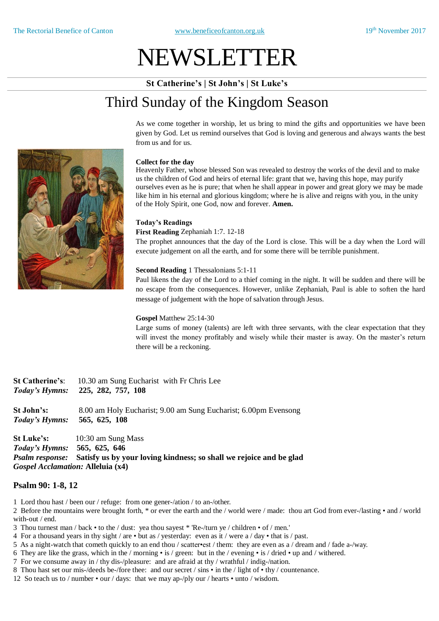# NEWSLETTER

**St Catherine's | St John's | St Luke's**

# Third Sunday of the Kingdom Season

As we come together in worship, let us bring to mind the gifts and opportunities we have been given by God. Let us remind ourselves that God is loving and generous and always wants the best from us and for us.

#### **Collect for the day**

Heavenly Father, whose blessed Son was revealed to destroy the works of the devil and to make us the children of God and heirs of eternal life: grant that we, having this hope, may purify ourselves even as he is pure; that when he shall appear in power and great glory we may be made like him in his eternal and glorious kingdom; where he is alive and reigns with you, in the unity of the Holy Spirit, one God, now and forever. **Amen.**

#### **Today's Readings**

#### **First Reading** Zephaniah 1:7. 12-18

The prophet announces that the day of the Lord is close. This will be a day when the Lord will execute judgement on all the earth, and for some there will be terrible punishment.

#### **Second Reading** 1 Thessalonians 5:1-11

Paul likens the day of the Lord to a thief coming in the night. It will be sudden and there will be no escape from the consequences. However, unlike Zephaniah, Paul is able to soften the hard message of judgement with the hope of salvation through Jesus.

#### **Gospel** Matthew 25:14-30

Large sums of money (talents) are left with three servants, with the clear expectation that they will invest the money profitably and wisely while their master is away. On the master's return there will be a reckoning.

| <b>St Catherine's:</b> | 10.30 am Sung Eucharist with Fr Chris Lee                       |
|------------------------|-----------------------------------------------------------------|
| Today's Hymns:         | 225, 282, 757, 108                                              |
| <b>St John's:</b>      | 8.00 am Holy Eucharist; 9.00 am Sung Eucharist; 6.00pm Evensong |
| Today's Hymns:         | 565, 625, 108                                                   |
|                        |                                                                 |

**St Luke's:** 10:30 am Sung Mass *Today's Hymns:* **565, 625, 646**  *Psalm response:* **Satisfy us by your loving kindness; so shall we rejoice and be glad**  *Gospel Acclamation:* **Alleluia (x4)** 

#### **Psalm 90: 1-8, 12**

- 1 Lord thou hast / been our / refuge: from one gener-/ation / to an-/other.
- 2 Before the mountains were brought forth, \* or ever the earth and the / world were / made: thou art God from ever-/lasting and / world with-out / end.
- 3 Thou turnest man / back to the / dust: yea thou sayest \* 'Re-/turn ye / children of / men.'
- 4 For a thousand years in thy sight / are but as / yesterday: even as it / were a / day that is / past.
- 5 As a night-watch that cometh quickly to an end thou / scatter•est / them: they are even as a / dream and / fade a-/way.
- 6 They are like the grass, which in the / morning is / green: but in the / evening is / dried up and / withered.
- 7 For we consume away in / thy dis-/pleasure: and are afraid at thy / wrathful / indig-/nation.
- 8 Thou hast set our mis-/deeds be-/fore thee: and our secret / sins in the / light of thy / countenance.
- 12 So teach us to / number our / days: that we may ap-/ply our / hearts unto / wisdom.

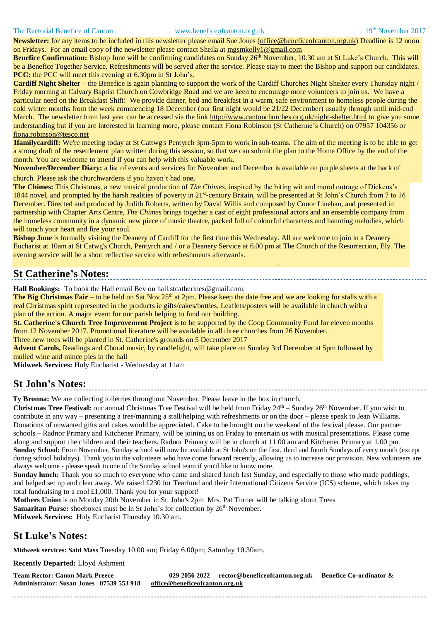#### The Rectorial Benefice of Canton [www.beneficeofcanton.org.uk](http://www.beneficeofcanton.org.uk/) 19<sup>th</sup> November 2017

**Newsletter:** for any items to be included in this newsletter please email Sue Jones (office@beneficeofcanton.org.uk) Deadline is 12 noon on Fridays. For an email copy of the newsletter please contact Sheila at mgsmkelly1@gmail.com

**Benefice Confirmation:** Bishop June will be confirming candidates on Sunday 26<sup>th</sup> November, 10.30 am at St Luke's Church. This will be a Benefice Together Service. Refreshments will be served after the service. Please stay to meet the Bishop and support our candidates. **PCC:** the PCC will meet this evening at 6.30pm in St John's.

**Cardiff Night Shelter** – the Benefice is again planning to support the work of the Cardiff Churches Night Shelter every Thursday night / Friday morning at Calvary Baptist Church on Cowbridge Road and we are keen to encourage more volunteers to join us. We have a particular need on the Breakfast Shift! We provide dinner, bed and breakfast in a warm, safe environment to homeless people during the cold winter months from the week commencing 18 December (our first night would be 21/22 December) usually through until mid-end March. The newsletter from last year can be accessed via the link <http://www.cantonchurches.org.uk/night-shelter.html> to give you some understanding but if you are interested in learning more, please contact Fiona Robinson (St Catherine's Church) on 07957 104356 or [fiona.robinson@tesco.net](mailto:fiona.robinson@tesco.net)

**1familycardiff:** We're meeting today at St Cattwg's Pentyrch 3pm-5pm to work in sub-teams. The aim of the meeting is to be able to get a strong draft of the resettlement plan written during this session, so that we can submit the plan to the Home Office by the end of the month. You are welcome to attend if you can help with this valuable work.

**November/December Diary:** a list of events and services for November and December is available on purple sheets at the back of church. Please ask the churchwardens if you haven't had one**.**

**The Chimes:** This Christmas, a new musical production of *The Chimes*, inspired by the biting wit and moral outrage of Dickens's 1844 novel, and prompted by the harsh realities of poverty in 21<sup>st</sup>-century Britain, will be presented at St John's Church from 7 to 16 December. Directed and produced by Judith Roberts, written by David Willis and composed by Conor Linehan, and presented in partnership with Chapter Arts Centre, *The Chimes* brings together a cast of eight professional actors and an ensemble company from the homeless community in a dynamic new piece of music theatre, packed full of colourful characters and haunting melodies, which will touch your heart and fire your soul.

**Bishop June** is formally visiting the Deanery of Cardiff for the first time this Wednesday. All are welcome to join in a Deanery Eucharist at 10am at St Catwg's Church, Pentyrch and / or a Deanery Service at 6.00 pm at The Church of the Resurrection, Ely. The evening service will be a short reflective service with refreshments afterwards.

### **St Catherine's Notes:**

**Hall Bookings:** To book the Hall email Bev on [hall.stcatherines@gmail.com.](mailto:hall.stcatherines@gmail.com)

.

**The Big Christmas Fair** – to be held on Sat Nov 25<sup>th</sup> at 2pm. Please keep the date free and we are looking for stalls with a real Christmas spirit represented in the products ie gifts/cakes/bottles. Leaflets/posters will be available in church with a plan of the action. A major event for our parish helping to fund our building.

**St. Catherine's Church Tree Improvement Project** is to be supported by the Coop Community Fund for eleven months from 12 November 2017. Promotional literature will be available in all three churches from 26 November.

Three new trees will be planted in St. Catherine's grounds on 5 December 2017

**Advent Carols,** Readings and Choral music, by candlelight, will take place on Sunday 3rd December at 5pm followed by mulled wine and mince pies in the hall

**Midweek Services:** Holy Eucharist - Wednesday at 11am

#### **St John's Notes:**

**Ty Bronna:** We are collecting toiletries throughout November. Please leave in the box in church.

**Christmas Tree Festival:** our annual Christmas Tree Festival will be held from Friday 24<sup>th</sup> – Sunday 26<sup>th</sup> November. If you wish to contribute in any way – presenting a tree/manning a stall/helping with refreshments or on the door – please speak to Jean Williams. Donations of unwanted gifts and cakes would be appreciated. Cake to be brought on the weekend of the festival please. Our partner schools – Radnor Primary and Kitchener Primary, will be joining us on Friday to entertain us with musical presentations. Please come along and support the children and their teachers. Radnor Primary will be in church at 11.00 am and Kitchener Primary at 1.00 pm. **Sunday School:** From November, Sunday school will now be available at St John's on the first, third and fourth Sundays of every month (except during school holidays). Thank you to the volunteers who have come forward recently, allowing us to increase our provision. New volunteers are always welcome - please speak to one of the Sunday school team if you'd like to know more.

**Sunday lunch:** Thank you so much to everyone who came and shared lunch last Sunday, and especially to those who made puddings, and helped set up and clear away. We raised £230 for Tearfund and their International Citizens Service (ICS) scheme, which takes my total fundraising to a cool £1,000. Thank you for your support!

**Mothers Union** is on Monday 20th November in St. John's 2pm Mrs. Pat Turner will be talking about Trees **Samaritan Purse:** shoeboxes must be in St John's for collection by 26<sup>th</sup> November.

**Midweek Services:** Holy Eucharist Thursday 10.30 am.

#### **St Luke's Notes:**

**Midweek services: Said Mass** Tuesday 10.00 am; Friday 6.00pm; Saturday 10.30am.

**Recently Departed:** Lloyd Ashment

**Team Rector: Canon Mark Preece 029 2056 2022 [rector@beneficeofcanton.org.uk](mailto:rector@beneficeofcanton.org.uk) Benefice Co-ordinator & Administrator: Susan Jones 07539 553 918 [office@beneficeofcanton.org.uk](mailto:office@beneficeofcanton.org.uk)**